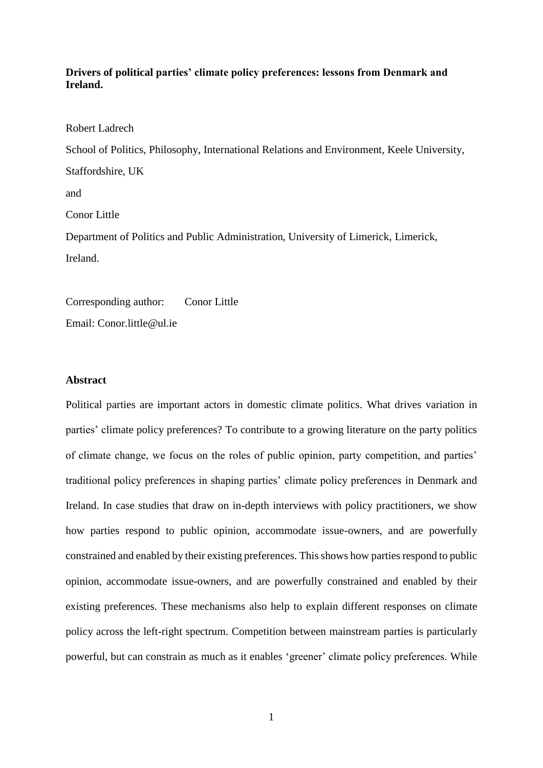# **Drivers of political parties' climate policy preferences: lessons from Denmark and Ireland.**

Robert Ladrech School of Politics, Philosophy, International Relations and Environment, Keele University, Staffordshire, UK and Conor Little Department of Politics and Public Administration, University of Limerick, Limerick, Ireland.

Corresponding author: Conor Little Email: Conor.little@ul.ie

## **Abstract**

Political parties are important actors in domestic climate politics. What drives variation in parties' climate policy preferences? To contribute to a growing literature on the party politics of climate change, we focus on the roles of public opinion, party competition, and parties' traditional policy preferences in shaping parties' climate policy preferences in Denmark and Ireland. In case studies that draw on in-depth interviews with policy practitioners, we show how parties respond to public opinion, accommodate issue-owners, and are powerfully constrained and enabled by their existing preferences. This shows how parties respond to public opinion, accommodate issue-owners, and are powerfully constrained and enabled by their existing preferences. These mechanisms also help to explain different responses on climate policy across the left-right spectrum. Competition between mainstream parties is particularly powerful, but can constrain as much as it enables 'greener' climate policy preferences. While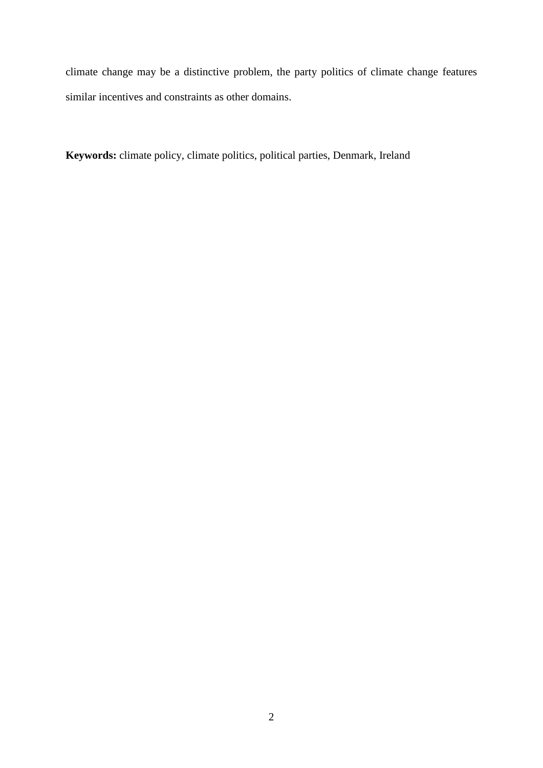climate change may be a distinctive problem, the party politics of climate change features similar incentives and constraints as other domains.

**Keywords:** climate policy, climate politics, political parties, Denmark, Ireland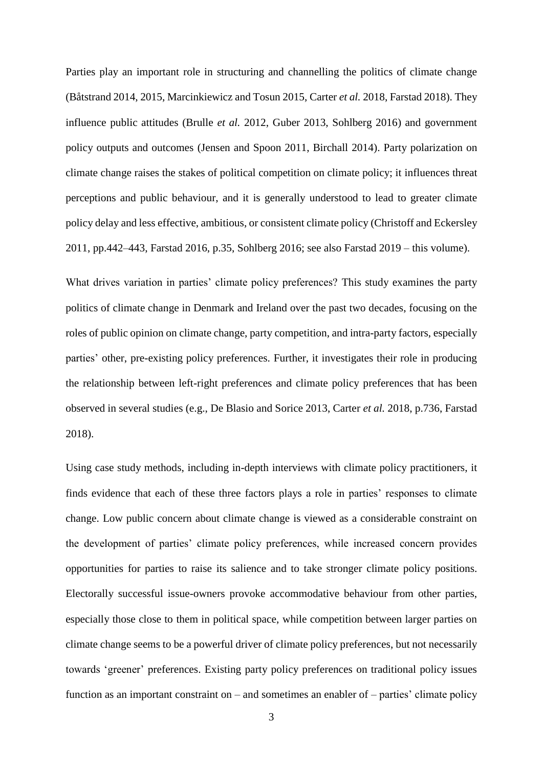Parties play an important role in structuring and channelling the politics of climate change (Båtstrand 2014, 2015, Marcinkiewicz and Tosun 2015, Carter *et al.* 2018, Farstad 2018). They influence public attitudes (Brulle *et al.* 2012, Guber 2013, Sohlberg 2016) and government policy outputs and outcomes (Jensen and Spoon 2011, Birchall 2014). Party polarization on climate change raises the stakes of political competition on climate policy; it influences threat perceptions and public behaviour, and it is generally understood to lead to greater climate policy delay and less effective, ambitious, or consistent climate policy (Christoff and Eckersley 2011, pp.442–443, Farstad 2016, p.35, Sohlberg 2016; see also Farstad 2019 – this volume).

What drives variation in parties' climate policy preferences? This study examines the party politics of climate change in Denmark and Ireland over the past two decades, focusing on the roles of public opinion on climate change, party competition, and intra-party factors, especially parties' other, pre-existing policy preferences. Further, it investigates their role in producing the relationship between left-right preferences and climate policy preferences that has been observed in several studies (e.g., De Blasio and Sorice 2013, Carter *et al.* 2018, p.736, Farstad 2018).

Using case study methods, including in-depth interviews with climate policy practitioners, it finds evidence that each of these three factors plays a role in parties' responses to climate change. Low public concern about climate change is viewed as a considerable constraint on the development of parties' climate policy preferences, while increased concern provides opportunities for parties to raise its salience and to take stronger climate policy positions. Electorally successful issue-owners provoke accommodative behaviour from other parties, especially those close to them in political space, while competition between larger parties on climate change seems to be a powerful driver of climate policy preferences, but not necessarily towards 'greener' preferences. Existing party policy preferences on traditional policy issues function as an important constraint on – and sometimes an enabler of – parties' climate policy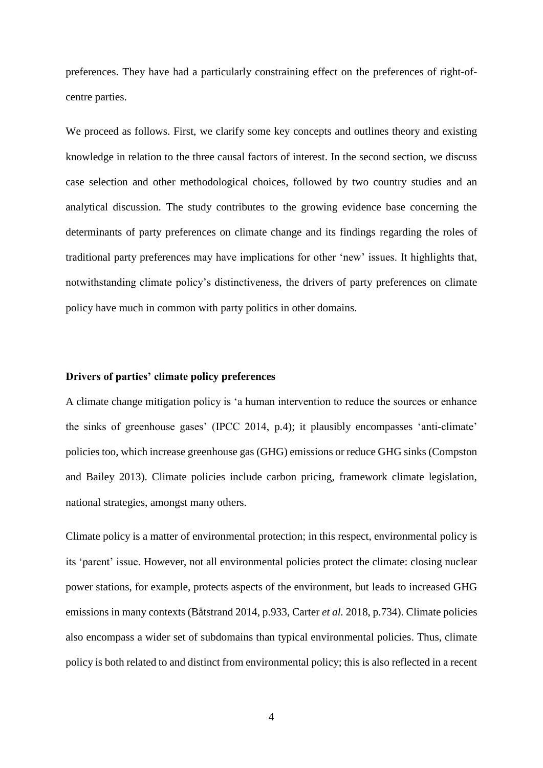preferences. They have had a particularly constraining effect on the preferences of right-ofcentre parties.

We proceed as follows. First, we clarify some key concepts and outlines theory and existing knowledge in relation to the three causal factors of interest. In the second section, we discuss case selection and other methodological choices, followed by two country studies and an analytical discussion. The study contributes to the growing evidence base concerning the determinants of party preferences on climate change and its findings regarding the roles of traditional party preferences may have implications for other 'new' issues. It highlights that, notwithstanding climate policy's distinctiveness, the drivers of party preferences on climate policy have much in common with party politics in other domains.

# **Drivers of parties' climate policy preferences**

A climate change mitigation policy is 'a human intervention to reduce the sources or enhance the sinks of greenhouse gases' (IPCC 2014, p.4); it plausibly encompasses 'anti-climate' policies too, which increase greenhouse gas (GHG) emissions or reduce GHG sinks (Compston and Bailey 2013). Climate policies include carbon pricing, framework climate legislation, national strategies, amongst many others.

Climate policy is a matter of environmental protection; in this respect, environmental policy is its 'parent' issue. However, not all environmental policies protect the climate: closing nuclear power stations, for example, protects aspects of the environment, but leads to increased GHG emissions in many contexts (Båtstrand 2014, p.933, Carter *et al.* 2018, p.734). Climate policies also encompass a wider set of subdomains than typical environmental policies. Thus, climate policy is both related to and distinct from environmental policy; this is also reflected in a recent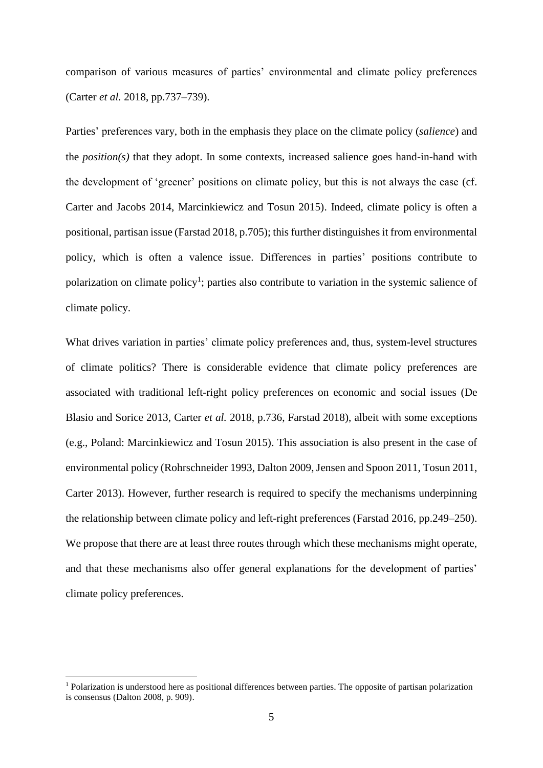comparison of various measures of parties' environmental and climate policy preferences (Carter *et al.* 2018, pp.737–739).

Parties' preferences vary, both in the emphasis they place on the climate policy (*salience*) and the *position(s)* that they adopt. In some contexts, increased salience goes hand-in-hand with the development of 'greener' positions on climate policy, but this is not always the case (cf. Carter and Jacobs 2014, Marcinkiewicz and Tosun 2015). Indeed, climate policy is often a positional, partisan issue (Farstad 2018, p.705); this further distinguishes it from environmental policy, which is often a valence issue. Differences in parties' positions contribute to polarization on climate policy<sup>1</sup>; parties also contribute to variation in the systemic salience of climate policy.

What drives variation in parties' climate policy preferences and, thus, system-level structures of climate politics? There is considerable evidence that climate policy preferences are associated with traditional left-right policy preferences on economic and social issues (De Blasio and Sorice 2013, Carter *et al.* 2018, p.736, Farstad 2018), albeit with some exceptions (e.g., Poland: Marcinkiewicz and Tosun 2015). This association is also present in the case of environmental policy (Rohrschneider 1993, Dalton 2009, Jensen and Spoon 2011, Tosun 2011, Carter 2013). However, further research is required to specify the mechanisms underpinning the relationship between climate policy and left-right preferences (Farstad 2016, pp.249–250). We propose that there are at least three routes through which these mechanisms might operate, and that these mechanisms also offer general explanations for the development of parties' climate policy preferences.

1

<sup>&</sup>lt;sup>1</sup> Polarization is understood here as positional differences between parties. The opposite of partisan polarization is consensus (Dalton 2008, p. 909).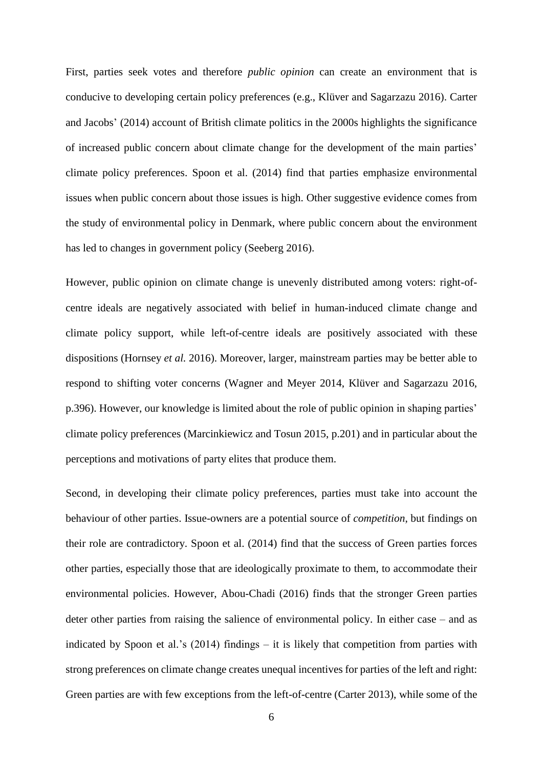First, parties seek votes and therefore *public opinion* can create an environment that is conducive to developing certain policy preferences (e.g., Klüver and Sagarzazu 2016). Carter and Jacobs' (2014) account of British climate politics in the 2000s highlights the significance of increased public concern about climate change for the development of the main parties' climate policy preferences. Spoon et al. (2014) find that parties emphasize environmental issues when public concern about those issues is high. Other suggestive evidence comes from the study of environmental policy in Denmark, where public concern about the environment has led to changes in government policy (Seeberg 2016).

However, public opinion on climate change is unevenly distributed among voters: right-ofcentre ideals are negatively associated with belief in human-induced climate change and climate policy support, while left-of-centre ideals are positively associated with these dispositions (Hornsey *et al.* 2016). Moreover, larger, mainstream parties may be better able to respond to shifting voter concerns (Wagner and Meyer 2014, Klüver and Sagarzazu 2016, p.396). However, our knowledge is limited about the role of public opinion in shaping parties' climate policy preferences (Marcinkiewicz and Tosun 2015, p.201) and in particular about the perceptions and motivations of party elites that produce them.

Second, in developing their climate policy preferences, parties must take into account the behaviour of other parties. Issue-owners are a potential source of *competition*, but findings on their role are contradictory. Spoon et al. (2014) find that the success of Green parties forces other parties, especially those that are ideologically proximate to them, to accommodate their environmental policies. However, Abou-Chadi (2016) finds that the stronger Green parties deter other parties from raising the salience of environmental policy. In either case – and as indicated by Spoon et al.'s (2014) findings – it is likely that competition from parties with strong preferences on climate change creates unequal incentives for parties of the left and right: Green parties are with few exceptions from the left-of-centre (Carter 2013), while some of the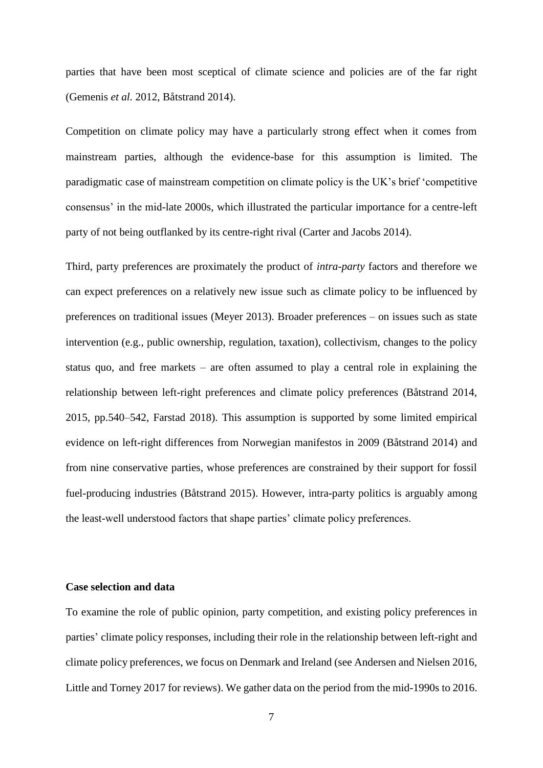parties that have been most sceptical of climate science and policies are of the far right (Gemenis *et al.* 2012, Båtstrand 2014).

Competition on climate policy may have a particularly strong effect when it comes from mainstream parties, although the evidence-base for this assumption is limited. The paradigmatic case of mainstream competition on climate policy is the UK's brief 'competitive consensus' in the mid-late 2000s, which illustrated the particular importance for a centre-left party of not being outflanked by its centre-right rival (Carter and Jacobs 2014).

Third, party preferences are proximately the product of *intra-party* factors and therefore we can expect preferences on a relatively new issue such as climate policy to be influenced by preferences on traditional issues (Meyer 2013). Broader preferences – on issues such as state intervention (e.g., public ownership, regulation, taxation), collectivism, changes to the policy status quo, and free markets – are often assumed to play a central role in explaining the relationship between left-right preferences and climate policy preferences (Båtstrand 2014, 2015, pp.540–542, Farstad 2018). This assumption is supported by some limited empirical evidence on left-right differences from Norwegian manifestos in 2009 (Båtstrand 2014) and from nine conservative parties, whose preferences are constrained by their support for fossil fuel-producing industries (Båtstrand 2015). However, intra-party politics is arguably among the least-well understood factors that shape parties' climate policy preferences.

#### **Case selection and data**

To examine the role of public opinion, party competition, and existing policy preferences in parties' climate policy responses, including their role in the relationship between left-right and climate policy preferences, we focus on Denmark and Ireland (see Andersen and Nielsen 2016, Little and Torney 2017 for reviews). We gather data on the period from the mid-1990s to 2016.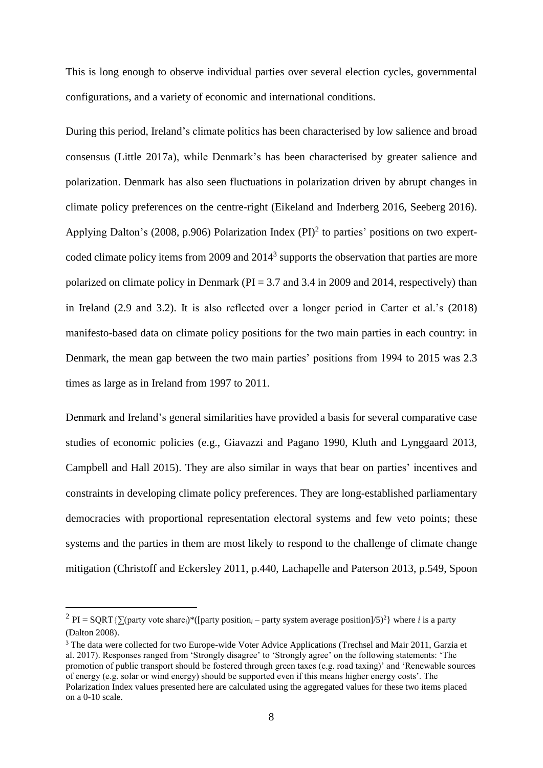This is long enough to observe individual parties over several election cycles, governmental configurations, and a variety of economic and international conditions.

During this period, Ireland's climate politics has been characterised by low salience and broad consensus (Little 2017a), while Denmark's has been characterised by greater salience and polarization. Denmark has also seen fluctuations in polarization driven by abrupt changes in climate policy preferences on the centre-right (Eikeland and Inderberg 2016, Seeberg 2016). Applying Dalton's (2008, p.906) Polarization Index (PI)<sup>2</sup> to parties' positions on two expertcoded climate policy items from 2009 and  $2014<sup>3</sup>$  supports the observation that parties are more polarized on climate policy in Denmark ( $PI = 3.7$  and 3.4 in 2009 and 2014, respectively) than in Ireland (2.9 and 3.2). It is also reflected over a longer period in Carter et al.'s (2018) manifesto-based data on climate policy positions for the two main parties in each country: in Denmark, the mean gap between the two main parties' positions from 1994 to 2015 was 2.3 times as large as in Ireland from 1997 to 2011.

Denmark and Ireland's general similarities have provided a basis for several comparative case studies of economic policies (e.g., Giavazzi and Pagano 1990, Kluth and Lynggaard 2013, Campbell and Hall 2015). They are also similar in ways that bear on parties' incentives and constraints in developing climate policy preferences. They are long-established parliamentary democracies with proportional representation electoral systems and few veto points; these systems and the parties in them are most likely to respond to the challenge of climate change mitigation (Christoff and Eckersley 2011, p.440, Lachapelle and Paterson 2013, p.549, Spoon

1

<sup>&</sup>lt;sup>2</sup> PI = SQRT{ $\sum$ (party vote share<sub>*i*</sub>)\*([party position<sub>*i*</sub> – party system average position]/5)<sup>2</sup>} where *i* is a party (Dalton 2008).

<sup>&</sup>lt;sup>3</sup> The data were collected for two Europe-wide Voter Advice Applications (Trechsel and Mair 2011, Garzia et al. 2017). Responses ranged from 'Strongly disagree' to 'Strongly agree' on the following statements: 'The promotion of public transport should be fostered through green taxes (e.g. road taxing)' and 'Renewable sources of energy (e.g. solar or wind energy) should be supported even if this means higher energy costs'. The Polarization Index values presented here are calculated using the aggregated values for these two items placed on a 0-10 scale.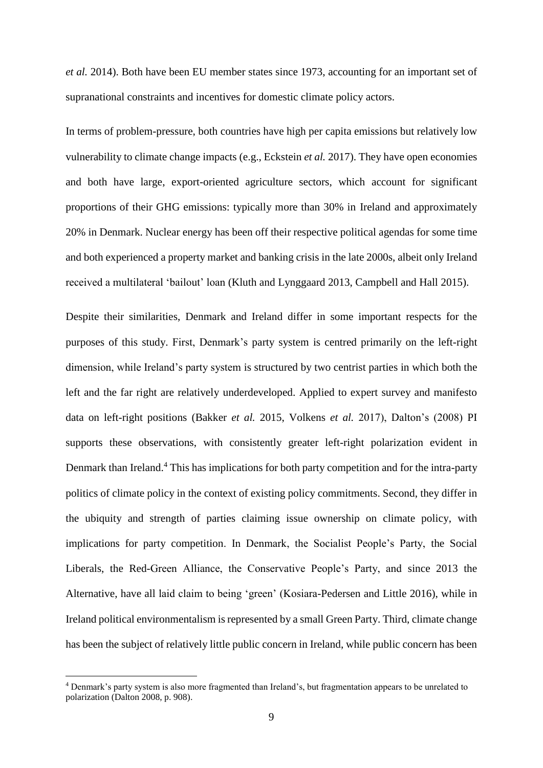*et al.* 2014). Both have been EU member states since 1973, accounting for an important set of supranational constraints and incentives for domestic climate policy actors.

In terms of problem-pressure, both countries have high per capita emissions but relatively low vulnerability to climate change impacts (e.g., Eckstein *et al.* 2017). They have open economies and both have large, export-oriented agriculture sectors, which account for significant proportions of their GHG emissions: typically more than 30% in Ireland and approximately 20% in Denmark. Nuclear energy has been off their respective political agendas for some time and both experienced a property market and banking crisis in the late 2000s, albeit only Ireland received a multilateral 'bailout' loan (Kluth and Lynggaard 2013, Campbell and Hall 2015).

Despite their similarities, Denmark and Ireland differ in some important respects for the purposes of this study. First, Denmark's party system is centred primarily on the left-right dimension, while Ireland's party system is structured by two centrist parties in which both the left and the far right are relatively underdeveloped. Applied to expert survey and manifesto data on left-right positions (Bakker *et al.* 2015, Volkens *et al.* 2017), Dalton's (2008) PI supports these observations, with consistently greater left-right polarization evident in Denmark than Ireland.<sup>4</sup> This has implications for both party competition and for the intra-party politics of climate policy in the context of existing policy commitments. Second, they differ in the ubiquity and strength of parties claiming issue ownership on climate policy, with implications for party competition. In Denmark, the Socialist People's Party, the Social Liberals, the Red-Green Alliance, the Conservative People's Party, and since 2013 the Alternative, have all laid claim to being 'green' (Kosiara-Pedersen and Little 2016), while in Ireland political environmentalism is represented by a small Green Party. Third, climate change has been the subject of relatively little public concern in Ireland, while public concern has been

1

<sup>4</sup> Denmark's party system is also more fragmented than Ireland's, but fragmentation appears to be unrelated to polarization (Dalton 2008, p. 908).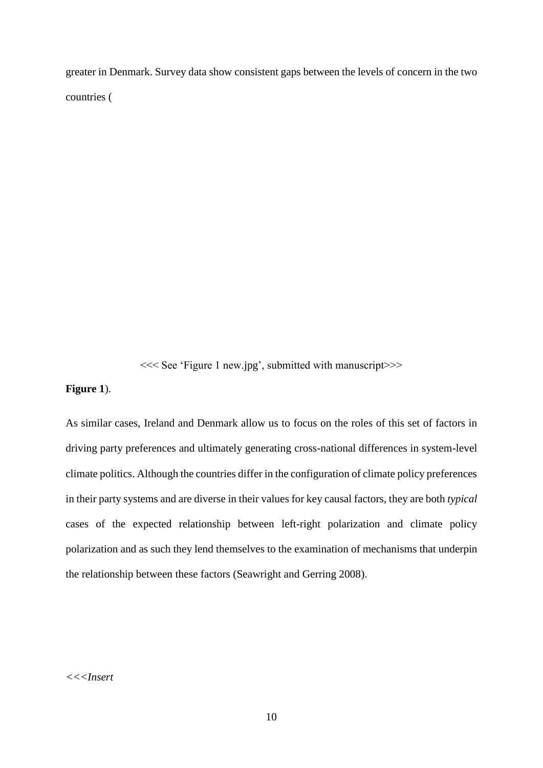greater in Denmark. Survey data show consistent gaps between the levels of concern in the two countries [\(](#page-29-0)

[<<< See 'Figure 1 new.jpg', submitted with manuscript>>>](#page-29-0)

#### **[Figure 1](#page-29-0)**).

As similar cases, Ireland and Denmark allow us to focus on the roles of this set of factors in driving party preferences and ultimately generating cross-national differences in system-level climate politics. Although the countries differ in the configuration of climate policy preferences in their party systems and are diverse in their values for key causal factors, they are both *typical* cases of the expected relationship between left-right polarization and climate policy polarization and as such they lend themselves to the examination of mechanisms that underpin the relationship between these factors (Seawright and Gerring 2008).

# *<<<Insert*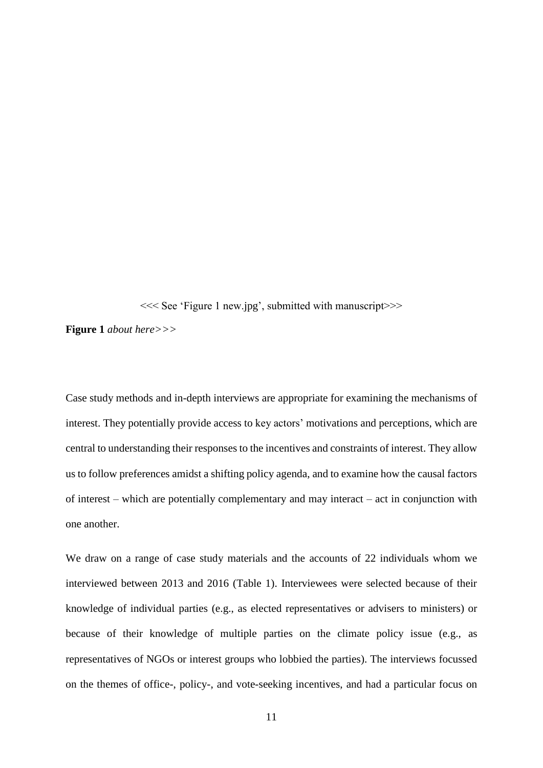[<<< See 'Figure 1 new.jpg', submitted with manuscript>>>](#page-29-0)

**[Figure 1](#page-29-0)** *about here>>>*

Case study methods and in-depth interviews are appropriate for examining the mechanisms of interest. They potentially provide access to key actors' motivations and perceptions, which are central to understanding their responses to the incentives and constraints of interest. They allow us to follow preferences amidst a shifting policy agenda, and to examine how the causal factors of interest – which are potentially complementary and may interact – act in conjunction with one another.

We draw on a range of case study materials and the accounts of 22 individuals whom we interviewed between 2013 and 2016 [\(Table 1\)](#page-30-0). Interviewees were selected because of their knowledge of individual parties (e.g., as elected representatives or advisers to ministers) or because of their knowledge of multiple parties on the climate policy issue (e.g., as representatives of NGOs or interest groups who lobbied the parties). The interviews focussed on the themes of office-, policy-, and vote-seeking incentives, and had a particular focus on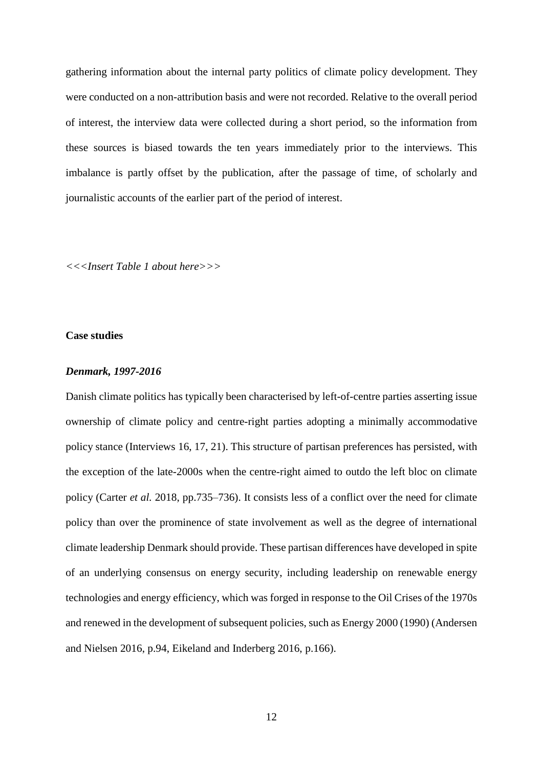gathering information about the internal party politics of climate policy development. They were conducted on a non-attribution basis and were not recorded. Relative to the overall period of interest, the interview data were collected during a short period, so the information from these sources is biased towards the ten years immediately prior to the interviews. This imbalance is partly offset by the publication, after the passage of time, of scholarly and journalistic accounts of the earlier part of the period of interest.

*<<<Insert [Table 1](#page-30-0) about here>>>*

# **Case studies**

#### *Denmark, 1997-2016*

Danish climate politics has typically been characterised by left-of-centre parties asserting issue ownership of climate policy and centre-right parties adopting a minimally accommodative policy stance (Interviews 16, 17, 21). This structure of partisan preferences has persisted, with the exception of the late-2000s when the centre-right aimed to outdo the left bloc on climate policy (Carter *et al.* 2018, pp.735–736). It consists less of a conflict over the need for climate policy than over the prominence of state involvement as well as the degree of international climate leadership Denmark should provide. These partisan differences have developed in spite of an underlying consensus on energy security, including leadership on renewable energy technologies and energy efficiency, which was forged in response to the Oil Crises of the 1970s and renewed in the development of subsequent policies, such as Energy 2000 (1990) (Andersen and Nielsen 2016, p.94, Eikeland and Inderberg 2016, p.166).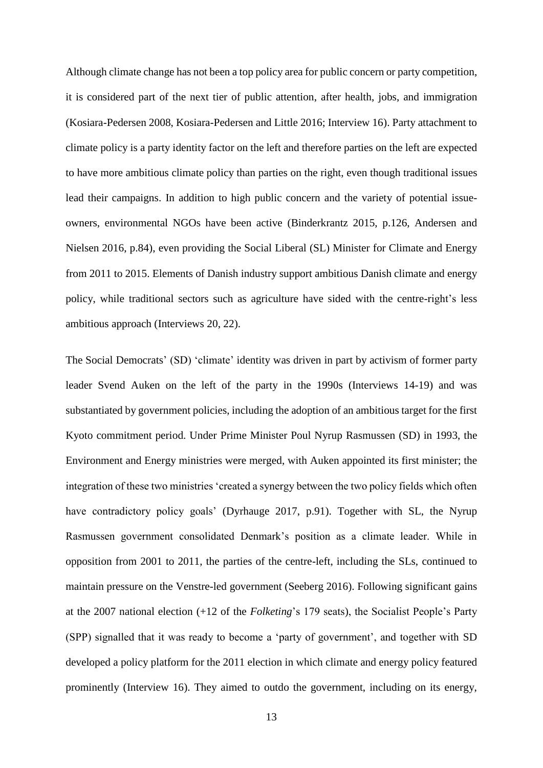Although climate change has not been a top policy area for public concern or party competition, it is considered part of the next tier of public attention, after health, jobs, and immigration (Kosiara-Pedersen 2008, Kosiara-Pedersen and Little 2016; Interview 16). Party attachment to climate policy is a party identity factor on the left and therefore parties on the left are expected to have more ambitious climate policy than parties on the right, even though traditional issues lead their campaigns. In addition to high public concern and the variety of potential issueowners, environmental NGOs have been active (Binderkrantz 2015, p.126, Andersen and Nielsen 2016, p.84), even providing the Social Liberal (SL) Minister for Climate and Energy from 2011 to 2015. Elements of Danish industry support ambitious Danish climate and energy policy, while traditional sectors such as agriculture have sided with the centre-right's less ambitious approach (Interviews 20, 22).

The Social Democrats' (SD) 'climate' identity was driven in part by activism of former party leader Svend Auken on the left of the party in the 1990s (Interviews 14-19) and was substantiated by government policies, including the adoption of an ambitious target for the first Kyoto commitment period. Under Prime Minister Poul Nyrup Rasmussen (SD) in 1993, the Environment and Energy ministries were merged, with Auken appointed its first minister; the integration of these two ministries 'created a synergy between the two policy fields which often have contradictory policy goals' (Dyrhauge 2017, p.91). Together with SL, the Nyrup Rasmussen government consolidated Denmark's position as a climate leader. While in opposition from 2001 to 2011, the parties of the centre-left, including the SLs, continued to maintain pressure on the Venstre-led government (Seeberg 2016). Following significant gains at the 2007 national election (+12 of the *Folketing*'s 179 seats), the Socialist People's Party (SPP) signalled that it was ready to become a 'party of government', and together with SD developed a policy platform for the 2011 election in which climate and energy policy featured prominently (Interview 16). They aimed to outdo the government, including on its energy,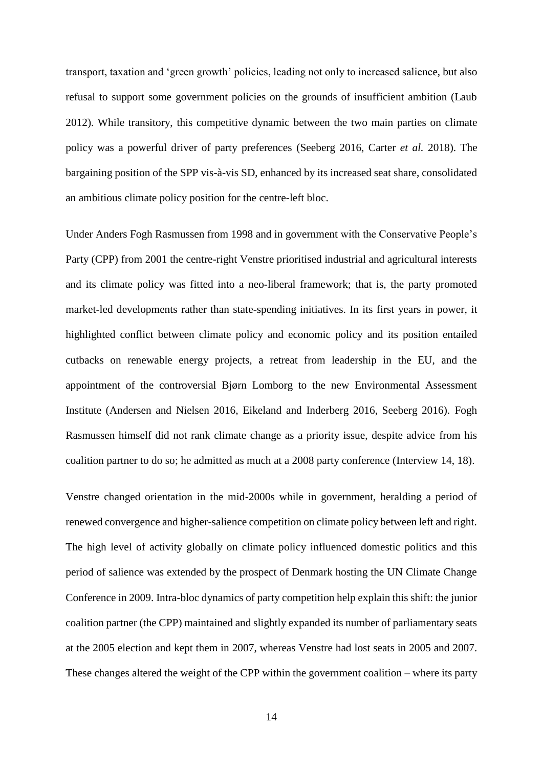transport, taxation and 'green growth' policies, leading not only to increased salience, but also refusal to support some government policies on the grounds of insufficient ambition (Laub 2012). While transitory, this competitive dynamic between the two main parties on climate policy was a powerful driver of party preferences (Seeberg 2016, Carter *et al.* 2018). The bargaining position of the SPP vis-à-vis SD, enhanced by its increased seat share, consolidated an ambitious climate policy position for the centre-left bloc.

Under Anders Fogh Rasmussen from 1998 and in government with the Conservative People's Party (CPP) from 2001 the centre-right Venstre prioritised industrial and agricultural interests and its climate policy was fitted into a neo-liberal framework; that is, the party promoted market-led developments rather than state-spending initiatives. In its first years in power, it highlighted conflict between climate policy and economic policy and its position entailed cutbacks on renewable energy projects, a retreat from leadership in the EU, and the appointment of the controversial Bjørn Lomborg to the new Environmental Assessment Institute (Andersen and Nielsen 2016, Eikeland and Inderberg 2016, Seeberg 2016). Fogh Rasmussen himself did not rank climate change as a priority issue, despite advice from his coalition partner to do so; he admitted as much at a 2008 party conference (Interview 14, 18).

Venstre changed orientation in the mid-2000s while in government, heralding a period of renewed convergence and higher-salience competition on climate policy between left and right. The high level of activity globally on climate policy influenced domestic politics and this period of salience was extended by the prospect of Denmark hosting the UN Climate Change Conference in 2009. Intra-bloc dynamics of party competition help explain this shift: the junior coalition partner (the CPP) maintained and slightly expanded its number of parliamentary seats at the 2005 election and kept them in 2007, whereas Venstre had lost seats in 2005 and 2007. These changes altered the weight of the CPP within the government coalition – where its party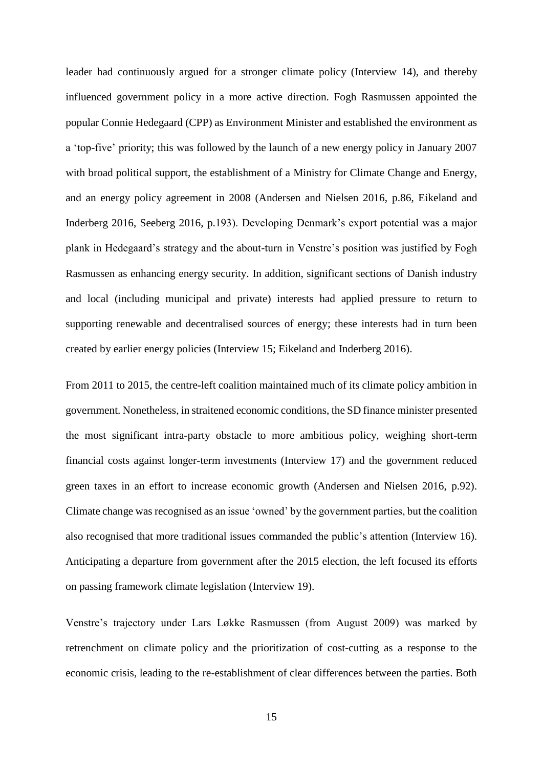leader had continuously argued for a stronger climate policy (Interview 14), and thereby influenced government policy in a more active direction. Fogh Rasmussen appointed the popular Connie Hedegaard (CPP) as Environment Minister and established the environment as a 'top-five' priority; this was followed by the launch of a new energy policy in January 2007 with broad political support, the establishment of a Ministry for Climate Change and Energy, and an energy policy agreement in 2008 (Andersen and Nielsen 2016, p.86, Eikeland and Inderberg 2016, Seeberg 2016, p.193). Developing Denmark's export potential was a major plank in Hedegaard's strategy and the about-turn in Venstre's position was justified by Fogh Rasmussen as enhancing energy security. In addition, significant sections of Danish industry and local (including municipal and private) interests had applied pressure to return to supporting renewable and decentralised sources of energy; these interests had in turn been created by earlier energy policies (Interview 15; Eikeland and Inderberg 2016).

From 2011 to 2015, the centre-left coalition maintained much of its climate policy ambition in government. Nonetheless, in straitened economic conditions, the SD finance minister presented the most significant intra-party obstacle to more ambitious policy, weighing short-term financial costs against longer-term investments (Interview 17) and the government reduced green taxes in an effort to increase economic growth (Andersen and Nielsen 2016, p.92). Climate change was recognised as an issue 'owned' by the government parties, but the coalition also recognised that more traditional issues commanded the public's attention (Interview 16). Anticipating a departure from government after the 2015 election, the left focused its efforts on passing framework climate legislation (Interview 19).

Venstre's trajectory under Lars Løkke Rasmussen (from August 2009) was marked by retrenchment on climate policy and the prioritization of cost-cutting as a response to the economic crisis, leading to the re-establishment of clear differences between the parties. Both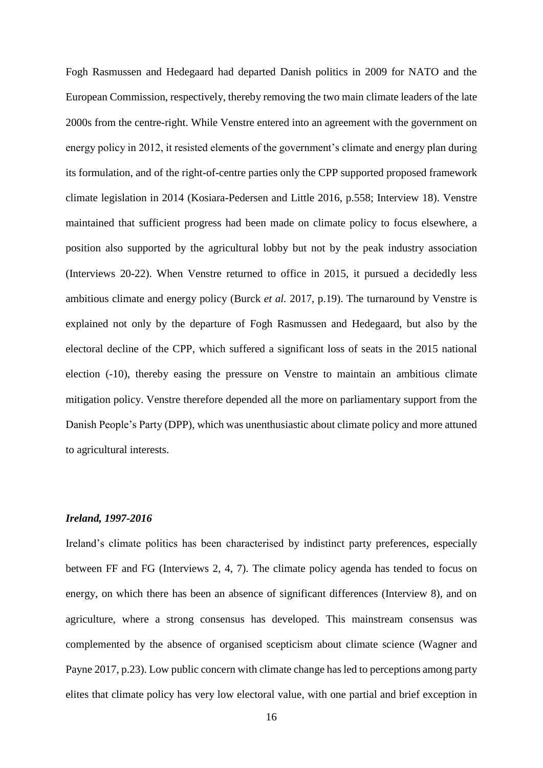Fogh Rasmussen and Hedegaard had departed Danish politics in 2009 for NATO and the European Commission, respectively, thereby removing the two main climate leaders of the late 2000s from the centre-right. While Venstre entered into an agreement with the government on energy policy in 2012, it resisted elements of the government's climate and energy plan during its formulation, and of the right-of-centre parties only the CPP supported proposed framework climate legislation in 2014 (Kosiara-Pedersen and Little 2016, p.558; Interview 18). Venstre maintained that sufficient progress had been made on climate policy to focus elsewhere, a position also supported by the agricultural lobby but not by the peak industry association (Interviews 20-22). When Venstre returned to office in 2015, it pursued a decidedly less ambitious climate and energy policy (Burck *et al.* 2017, p.19). The turnaround by Venstre is explained not only by the departure of Fogh Rasmussen and Hedegaard, but also by the electoral decline of the CPP, which suffered a significant loss of seats in the 2015 national election (-10), thereby easing the pressure on Venstre to maintain an ambitious climate mitigation policy. Venstre therefore depended all the more on parliamentary support from the Danish People's Party (DPP), which was unenthusiastic about climate policy and more attuned to agricultural interests.

# *Ireland, 1997-2016*

Ireland's climate politics has been characterised by indistinct party preferences, especially between FF and FG (Interviews 2, 4, 7). The climate policy agenda has tended to focus on energy, on which there has been an absence of significant differences (Interview 8), and on agriculture, where a strong consensus has developed. This mainstream consensus was complemented by the absence of organised scepticism about climate science (Wagner and Payne 2017, p.23). Low public concern with climate change has led to perceptions among party elites that climate policy has very low electoral value, with one partial and brief exception in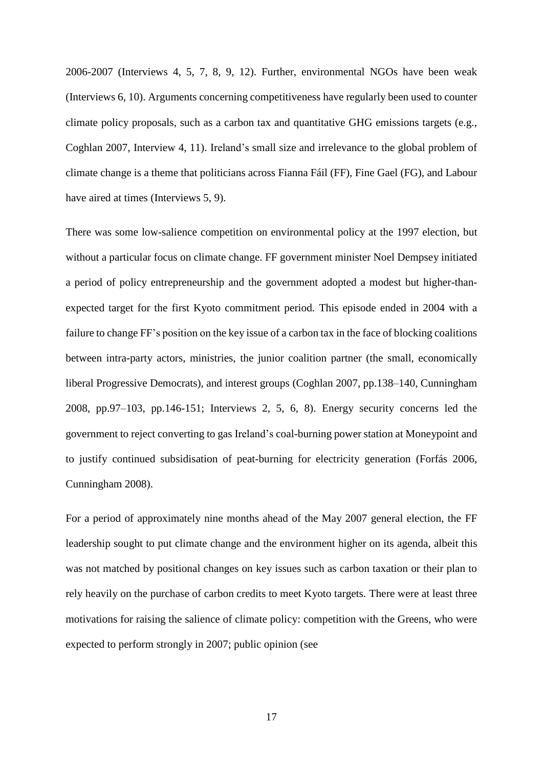2006-2007 (Interviews 4, 5, 7, 8, 9, 12). Further, environmental NGOs have been weak (Interviews 6, 10). Arguments concerning competitiveness have regularly been used to counter climate policy proposals, such as a carbon tax and quantitative GHG emissions targets (e.g., Coghlan 2007, Interview 4, 11). Ireland's small size and irrelevance to the global problem of climate change is a theme that politicians across Fianna Fáil (FF), Fine Gael (FG), and Labour have aired at times (Interviews 5, 9).

There was some low-salience competition on environmental policy at the 1997 election, but without a particular focus on climate change. FF government minister Noel Dempsey initiated a period of policy entrepreneurship and the government adopted a modest but higher-thanexpected target for the first Kyoto commitment period. This episode ended in 2004 with a failure to change FF's position on the key issue of a carbon tax in the face of blocking coalitions between intra-party actors, ministries, the junior coalition partner (the small, economically liberal Progressive Democrats), and interest groups (Coghlan 2007, pp.138–140, Cunningham 2008, pp.97–103, pp.146-151; Interviews 2, 5, 6, 8). Energy security concerns led the government to reject converting to gas Ireland's coal-burning power station at Moneypoint and to justify continued subsidisation of peat-burning for electricity generation (Forfás 2006, Cunningham 2008).

For a period of approximately nine months ahead of the May 2007 general election, the FF leadership sought to put climate change and the environment higher on its agenda, albeit this was not matched by positional changes on key issues such as carbon taxation or their plan to rely heavily on the purchase of carbon credits to meet Kyoto targets. There were at least three motivations for raising the salience of climate policy: competition with the Greens, who were expected to perform strongly in 2007; public opinion (see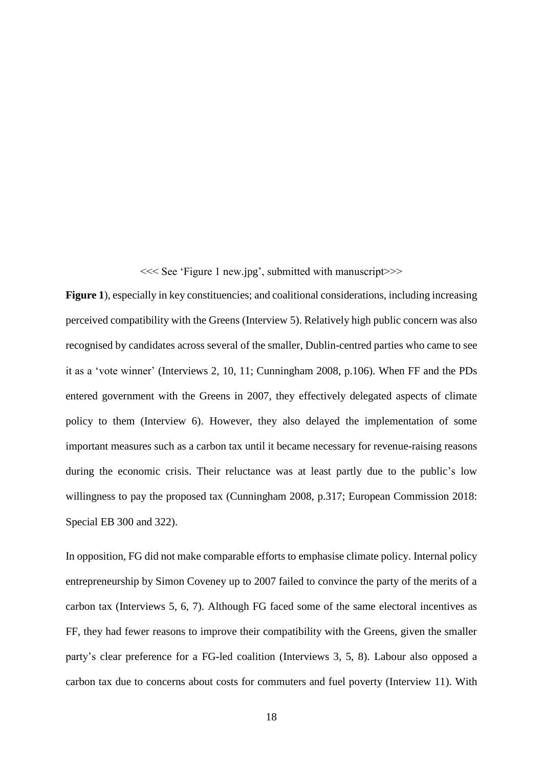[<<< See 'Figure 1 new.jpg', submitted with manuscript>>>](#page-29-0)

[Figure 1](#page-29-0)), especially in key constituencies; and coalitional considerations, including increasing perceived compatibility with the Greens (Interview 5). Relatively high public concern was also recognised by candidates across several of the smaller, Dublin-centred parties who came to see it as a 'vote winner' (Interviews 2, 10, 11; Cunningham 2008, p.106). When FF and the PDs entered government with the Greens in 2007, they effectively delegated aspects of climate policy to them (Interview 6). However, they also delayed the implementation of some important measures such as a carbon tax until it became necessary for revenue-raising reasons during the economic crisis. Their reluctance was at least partly due to the public's low willingness to pay the proposed tax (Cunningham 2008, p.317; European Commission 2018: Special EB 300 and 322).

In opposition, FG did not make comparable efforts to emphasise climate policy. Internal policy entrepreneurship by Simon Coveney up to 2007 failed to convince the party of the merits of a carbon tax (Interviews 5, 6, 7). Although FG faced some of the same electoral incentives as FF, they had fewer reasons to improve their compatibility with the Greens, given the smaller party's clear preference for a FG-led coalition (Interviews 3, 5, 8). Labour also opposed a carbon tax due to concerns about costs for commuters and fuel poverty (Interview 11). With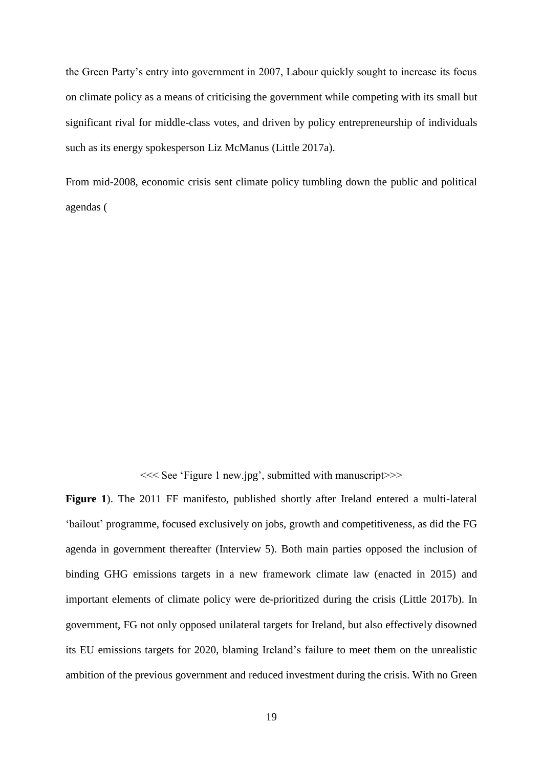the Green Party's entry into government in 2007, Labour quickly sought to increase its focus on climate policy as a means of criticising the government while competing with its small but significant rival for middle-class votes, and driven by policy entrepreneurship of individuals such as its energy spokesperson Liz McManus (Little 2017a).

From mid-2008, economic crisis sent climate policy tumbling down the public and political agendas [\(](#page-29-0)

[<<< See 'Figure 1 new.jpg', submitted with manuscript>>>](#page-29-0)

**[Figure 1](#page-29-0)**). The 2011 FF manifesto, published shortly after Ireland entered a multi-lateral 'bailout' programme, focused exclusively on jobs, growth and competitiveness, as did the FG agenda in government thereafter (Interview 5). Both main parties opposed the inclusion of binding GHG emissions targets in a new framework climate law (enacted in 2015) and important elements of climate policy were de-prioritized during the crisis (Little 2017b). In government, FG not only opposed unilateral targets for Ireland, but also effectively disowned its EU emissions targets for 2020, blaming Ireland's failure to meet them on the unrealistic ambition of the previous government and reduced investment during the crisis. With no Green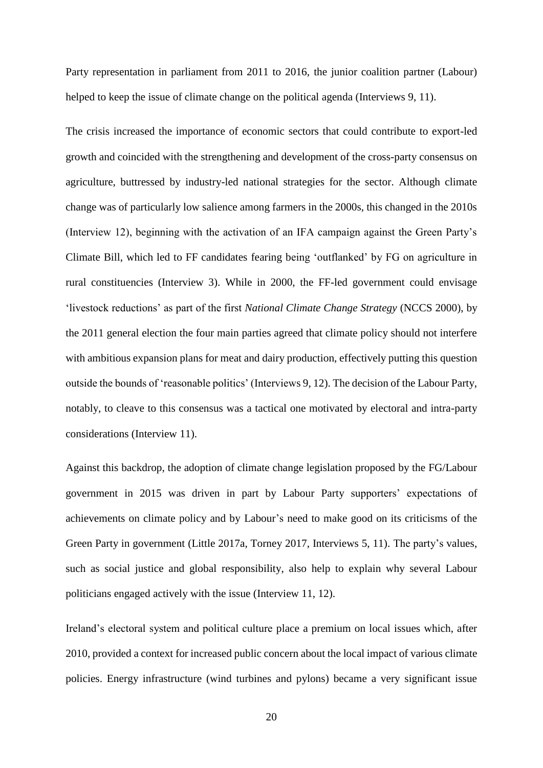Party representation in parliament from 2011 to 2016, the junior coalition partner (Labour) helped to keep the issue of climate change on the political agenda (Interviews 9, 11).

The crisis increased the importance of economic sectors that could contribute to export-led growth and coincided with the strengthening and development of the cross-party consensus on agriculture, buttressed by industry-led national strategies for the sector. Although climate change was of particularly low salience among farmers in the 2000s, this changed in the 2010s (Interview 12), beginning with the activation of an IFA campaign against the Green Party's Climate Bill, which led to FF candidates fearing being 'outflanked' by FG on agriculture in rural constituencies (Interview 3). While in 2000, the FF-led government could envisage 'livestock reductions' as part of the first *National Climate Change Strategy* (NCCS 2000), by the 2011 general election the four main parties agreed that climate policy should not interfere with ambitious expansion plans for meat and dairy production, effectively putting this question outside the bounds of 'reasonable politics' (Interviews 9, 12). The decision of the Labour Party, notably, to cleave to this consensus was a tactical one motivated by electoral and intra-party considerations (Interview 11).

Against this backdrop, the adoption of climate change legislation proposed by the FG/Labour government in 2015 was driven in part by Labour Party supporters' expectations of achievements on climate policy and by Labour's need to make good on its criticisms of the Green Party in government (Little 2017a, Torney 2017, Interviews 5, 11). The party's values, such as social justice and global responsibility, also help to explain why several Labour politicians engaged actively with the issue (Interview 11, 12).

Ireland's electoral system and political culture place a premium on local issues which, after 2010, provided a context for increased public concern about the local impact of various climate policies. Energy infrastructure (wind turbines and pylons) became a very significant issue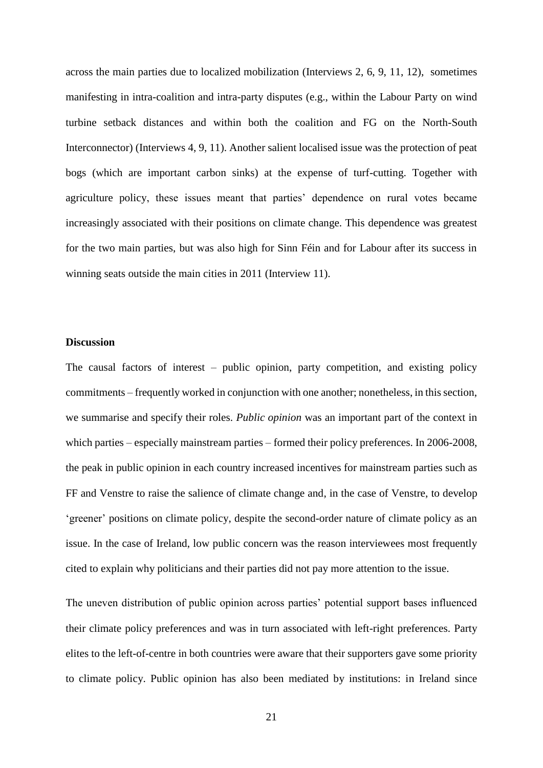across the main parties due to localized mobilization (Interviews 2, 6, 9, 11, 12), sometimes manifesting in intra-coalition and intra-party disputes (e.g., within the Labour Party on wind turbine setback distances and within both the coalition and FG on the North-South Interconnector) (Interviews 4, 9, 11). Another salient localised issue was the protection of peat bogs (which are important carbon sinks) at the expense of turf-cutting. Together with agriculture policy, these issues meant that parties' dependence on rural votes became increasingly associated with their positions on climate change. This dependence was greatest for the two main parties, but was also high for Sinn Féin and for Labour after its success in winning seats outside the main cities in 2011 (Interview 11).

#### **Discussion**

The causal factors of interest – public opinion, party competition, and existing policy commitments – frequently worked in conjunction with one another; nonetheless, in this section, we summarise and specify their roles. *Public opinion* was an important part of the context in which parties – especially mainstream parties – formed their policy preferences. In 2006-2008, the peak in public opinion in each country increased incentives for mainstream parties such as FF and Venstre to raise the salience of climate change and, in the case of Venstre, to develop 'greener' positions on climate policy, despite the second-order nature of climate policy as an issue. In the case of Ireland, low public concern was the reason interviewees most frequently cited to explain why politicians and their parties did not pay more attention to the issue.

The uneven distribution of public opinion across parties' potential support bases influenced their climate policy preferences and was in turn associated with left-right preferences. Party elites to the left-of-centre in both countries were aware that their supporters gave some priority to climate policy. Public opinion has also been mediated by institutions: in Ireland since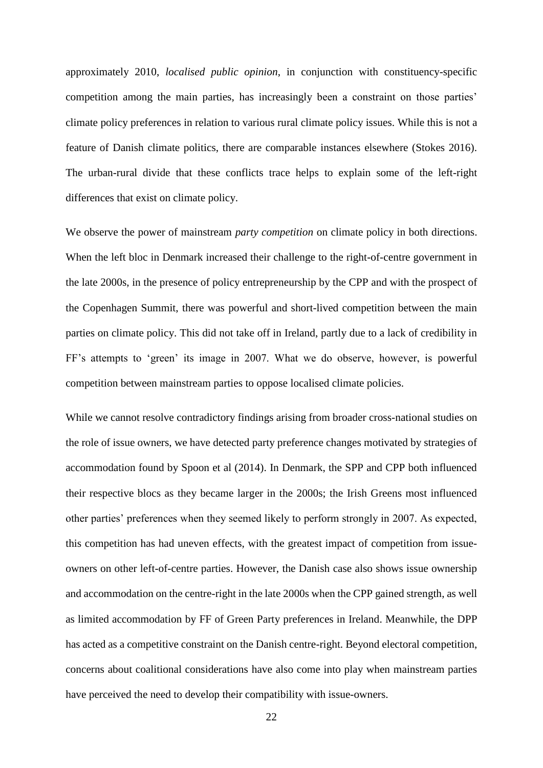approximately 2010, *localised public opinion*, in conjunction with constituency-specific competition among the main parties, has increasingly been a constraint on those parties' climate policy preferences in relation to various rural climate policy issues. While this is not a feature of Danish climate politics, there are comparable instances elsewhere (Stokes 2016). The urban-rural divide that these conflicts trace helps to explain some of the left-right differences that exist on climate policy.

We observe the power of mainstream *party competition* on climate policy in both directions. When the left bloc in Denmark increased their challenge to the right-of-centre government in the late 2000s, in the presence of policy entrepreneurship by the CPP and with the prospect of the Copenhagen Summit, there was powerful and short-lived competition between the main parties on climate policy. This did not take off in Ireland, partly due to a lack of credibility in FF's attempts to 'green' its image in 2007. What we do observe, however, is powerful competition between mainstream parties to oppose localised climate policies.

While we cannot resolve contradictory findings arising from broader cross-national studies on the role of issue owners, we have detected party preference changes motivated by strategies of accommodation found by Spoon et al (2014). In Denmark, the SPP and CPP both influenced their respective blocs as they became larger in the 2000s; the Irish Greens most influenced other parties' preferences when they seemed likely to perform strongly in 2007. As expected, this competition has had uneven effects, with the greatest impact of competition from issueowners on other left-of-centre parties. However, the Danish case also shows issue ownership and accommodation on the centre-right in the late 2000s when the CPP gained strength, as well as limited accommodation by FF of Green Party preferences in Ireland. Meanwhile, the DPP has acted as a competitive constraint on the Danish centre-right. Beyond electoral competition, concerns about coalitional considerations have also come into play when mainstream parties have perceived the need to develop their compatibility with issue-owners.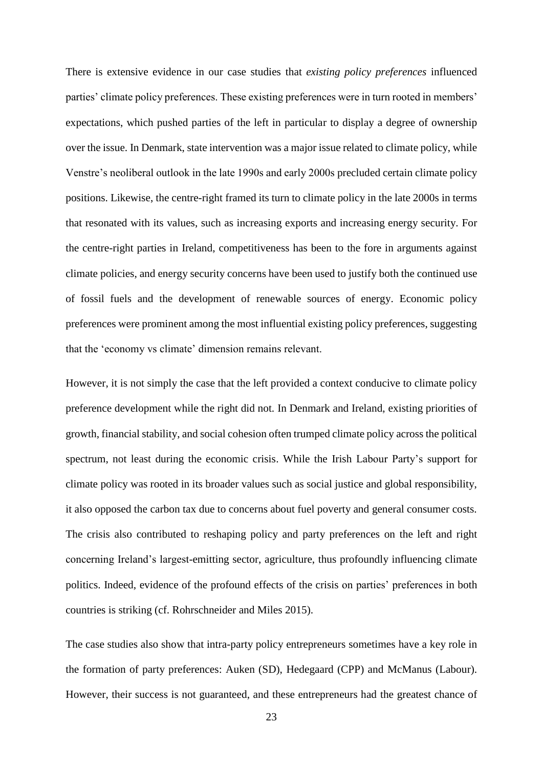There is extensive evidence in our case studies that *existing policy preferences* influenced parties' climate policy preferences. These existing preferences were in turn rooted in members' expectations, which pushed parties of the left in particular to display a degree of ownership over the issue. In Denmark, state intervention was a major issue related to climate policy, while Venstre's neoliberal outlook in the late 1990s and early 2000s precluded certain climate policy positions. Likewise, the centre-right framed its turn to climate policy in the late 2000s in terms that resonated with its values, such as increasing exports and increasing energy security. For the centre-right parties in Ireland, competitiveness has been to the fore in arguments against climate policies, and energy security concerns have been used to justify both the continued use of fossil fuels and the development of renewable sources of energy. Economic policy preferences were prominent among the most influential existing policy preferences, suggesting that the 'economy vs climate' dimension remains relevant.

However, it is not simply the case that the left provided a context conducive to climate policy preference development while the right did not. In Denmark and Ireland, existing priorities of growth, financial stability, and social cohesion often trumped climate policy across the political spectrum, not least during the economic crisis. While the Irish Labour Party's support for climate policy was rooted in its broader values such as social justice and global responsibility, it also opposed the carbon tax due to concerns about fuel poverty and general consumer costs. The crisis also contributed to reshaping policy and party preferences on the left and right concerning Ireland's largest-emitting sector, agriculture, thus profoundly influencing climate politics. Indeed, evidence of the profound effects of the crisis on parties' preferences in both countries is striking (cf. Rohrschneider and Miles 2015).

The case studies also show that intra-party policy entrepreneurs sometimes have a key role in the formation of party preferences: Auken (SD), Hedegaard (CPP) and McManus (Labour). However, their success is not guaranteed, and these entrepreneurs had the greatest chance of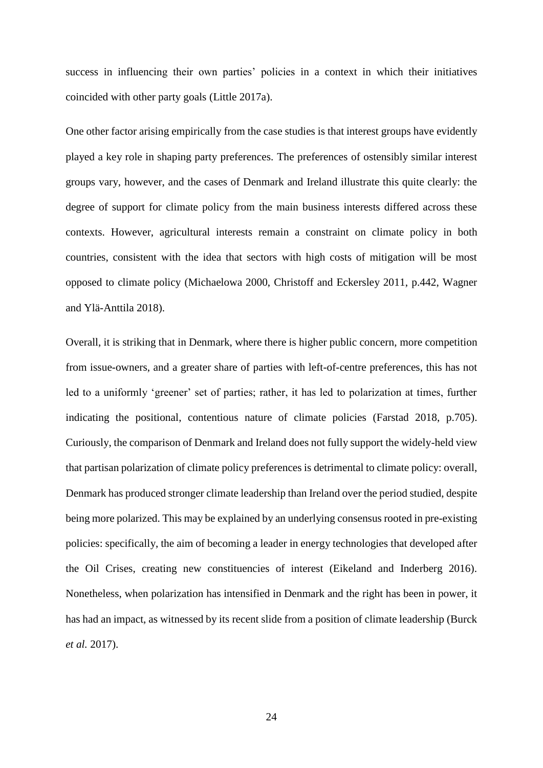success in influencing their own parties' policies in a context in which their initiatives coincided with other party goals (Little 2017a).

One other factor arising empirically from the case studies is that interest groups have evidently played a key role in shaping party preferences. The preferences of ostensibly similar interest groups vary, however, and the cases of Denmark and Ireland illustrate this quite clearly: the degree of support for climate policy from the main business interests differed across these contexts. However, agricultural interests remain a constraint on climate policy in both countries, consistent with the idea that sectors with high costs of mitigation will be most opposed to climate policy (Michaelowa 2000, Christoff and Eckersley 2011, p.442, Wagner and Ylä-Anttila 2018).

Overall, it is striking that in Denmark, where there is higher public concern, more competition from issue-owners, and a greater share of parties with left-of-centre preferences, this has not led to a uniformly 'greener' set of parties; rather, it has led to polarization at times, further indicating the positional, contentious nature of climate policies (Farstad 2018, p.705). Curiously, the comparison of Denmark and Ireland does not fully support the widely-held view that partisan polarization of climate policy preferences is detrimental to climate policy: overall, Denmark has produced stronger climate leadership than Ireland over the period studied, despite being more polarized. This may be explained by an underlying consensus rooted in pre-existing policies: specifically, the aim of becoming a leader in energy technologies that developed after the Oil Crises, creating new constituencies of interest (Eikeland and Inderberg 2016). Nonetheless, when polarization has intensified in Denmark and the right has been in power, it has had an impact, as witnessed by its recent slide from a position of climate leadership (Burck *et al.* 2017).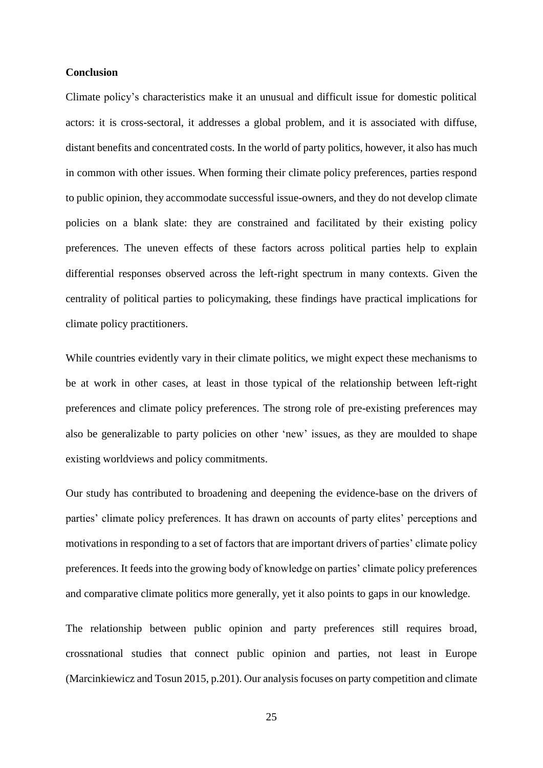#### **Conclusion**

Climate policy's characteristics make it an unusual and difficult issue for domestic political actors: it is cross-sectoral, it addresses a global problem, and it is associated with diffuse, distant benefits and concentrated costs. In the world of party politics, however, it also has much in common with other issues. When forming their climate policy preferences, parties respond to public opinion, they accommodate successful issue-owners, and they do not develop climate policies on a blank slate: they are constrained and facilitated by their existing policy preferences. The uneven effects of these factors across political parties help to explain differential responses observed across the left-right spectrum in many contexts. Given the centrality of political parties to policymaking, these findings have practical implications for climate policy practitioners.

While countries evidently vary in their climate politics, we might expect these mechanisms to be at work in other cases, at least in those typical of the relationship between left-right preferences and climate policy preferences. The strong role of pre-existing preferences may also be generalizable to party policies on other 'new' issues, as they are moulded to shape existing worldviews and policy commitments.

Our study has contributed to broadening and deepening the evidence-base on the drivers of parties' climate policy preferences. It has drawn on accounts of party elites' perceptions and motivations in responding to a set of factors that are important drivers of parties' climate policy preferences. It feeds into the growing body of knowledge on parties' climate policy preferences and comparative climate politics more generally, yet it also points to gaps in our knowledge.

The relationship between public opinion and party preferences still requires broad, crossnational studies that connect public opinion and parties, not least in Europe (Marcinkiewicz and Tosun 2015, p.201). Our analysis focuses on party competition and climate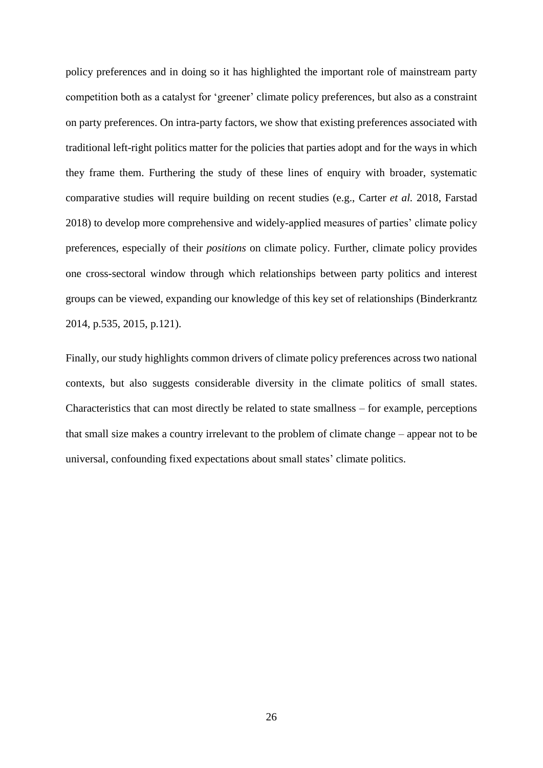policy preferences and in doing so it has highlighted the important role of mainstream party competition both as a catalyst for 'greener' climate policy preferences, but also as a constraint on party preferences. On intra-party factors, we show that existing preferences associated with traditional left-right politics matter for the policies that parties adopt and for the ways in which they frame them. Furthering the study of these lines of enquiry with broader, systematic comparative studies will require building on recent studies (e.g., Carter *et al.* 2018, Farstad 2018) to develop more comprehensive and widely-applied measures of parties' climate policy preferences, especially of their *positions* on climate policy. Further, climate policy provides one cross-sectoral window through which relationships between party politics and interest groups can be viewed, expanding our knowledge of this key set of relationships (Binderkrantz 2014, p.535, 2015, p.121).

Finally, our study highlights common drivers of climate policy preferences across two national contexts, but also suggests considerable diversity in the climate politics of small states. Characteristics that can most directly be related to state smallness – for example, perceptions that small size makes a country irrelevant to the problem of climate change – appear not to be universal, confounding fixed expectations about small states' climate politics.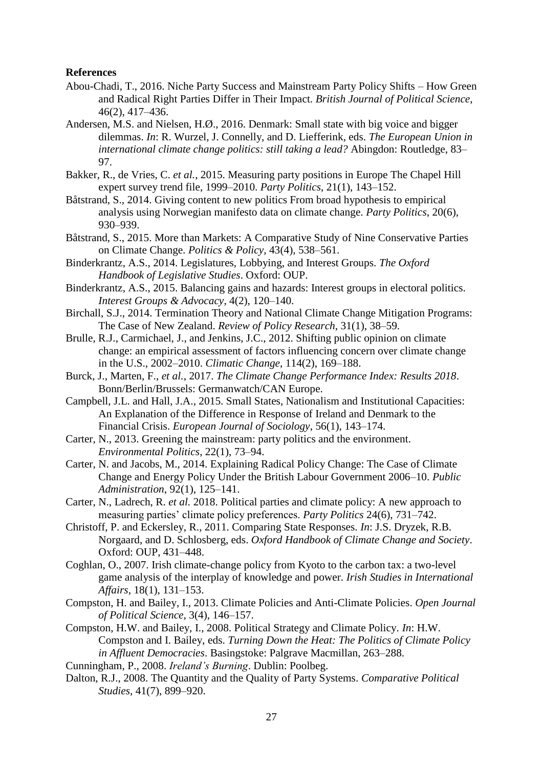## **References**

- Abou-Chadi, T., 2016. Niche Party Success and Mainstream Party Policy Shifts How Green and Radical Right Parties Differ in Their Impact. *British Journal of Political Science*, 46(2), 417–436.
- Andersen, M.S. and Nielsen, H.Ø., 2016. Denmark: Small state with big voice and bigger dilemmas. *In*: R. Wurzel, J. Connelly, and D. Liefferink, eds. *The European Union in international climate change politics: still taking a lead?* Abingdon: Routledge, 83– 97.
- Bakker, R., de Vries, C. *et al.*, 2015. Measuring party positions in Europe The Chapel Hill expert survey trend file, 1999–2010. *Party Politics*, 21(1), 143–152.
- Båtstrand, S., 2014. Giving content to new politics From broad hypothesis to empirical analysis using Norwegian manifesto data on climate change. *Party Politics*, 20(6), 930–939.
- Båtstrand, S., 2015. More than Markets: A Comparative Study of Nine Conservative Parties on Climate Change. *Politics & Policy*, 43(4), 538–561.
- Binderkrantz, A.S., 2014. Legislatures, Lobbying, and Interest Groups. *The Oxford Handbook of Legislative Studies*. Oxford: OUP.
- Binderkrantz, A.S., 2015. Balancing gains and hazards: Interest groups in electoral politics. *Interest Groups & Advocacy*, 4(2), 120–140.
- Birchall, S.J., 2014. Termination Theory and National Climate Change Mitigation Programs: The Case of New Zealand. *Review of Policy Research*, 31(1), 38–59.
- Brulle, R.J., Carmichael, J., and Jenkins, J.C., 2012. Shifting public opinion on climate change: an empirical assessment of factors influencing concern over climate change in the U.S., 2002–2010. *Climatic Change*, 114(2), 169–188.
- Burck, J., Marten, F., *et al.*, 2017. *The Climate Change Performance Index: Results 2018*. Bonn/Berlin/Brussels: Germanwatch/CAN Europe.
- Campbell, J.L. and Hall, J.A., 2015. Small States, Nationalism and Institutional Capacities: An Explanation of the Difference in Response of Ireland and Denmark to the Financial Crisis. *European Journal of Sociology*, 56(1), 143–174.
- Carter, N., 2013. Greening the mainstream: party politics and the environment. *Environmental Politics*, 22(1), 73–94.
- Carter, N. and Jacobs, M., 2014. Explaining Radical Policy Change: The Case of Climate Change and Energy Policy Under the British Labour Government 2006–10. *Public Administration*, 92(1), 125–141.
- Carter, N., Ladrech, R. *et al.* 2018. Political parties and climate policy: A new approach to measuring parties' climate policy preferences. *Party Politics* 24(6), 731–742.
- Christoff, P. and Eckersley, R., 2011. Comparing State Responses. *In*: J.S. Dryzek, R.B. Norgaard, and D. Schlosberg, eds. *Oxford Handbook of Climate Change and Society*. Oxford: OUP, 431–448.
- Coghlan, O., 2007. Irish climate-change policy from Kyoto to the carbon tax: a two-level game analysis of the interplay of knowledge and power. *Irish Studies in International Affairs*, 18(1), 131–153.
- Compston, H. and Bailey, I., 2013. Climate Policies and Anti-Climate Policies. *Open Journal of Political Science*, 3(4), 146–157.
- Compston, H.W. and Bailey, I., 2008. Political Strategy and Climate Policy. *In*: H.W. Compston and I. Bailey, eds. *Turning Down the Heat: The Politics of Climate Policy in Affluent Democracies*. Basingstoke: Palgrave Macmillan, 263–288.
- Cunningham, P., 2008. *Ireland's Burning*. Dublin: Poolbeg.
- Dalton, R.J., 2008. The Quantity and the Quality of Party Systems. *Comparative Political Studies*, 41(7), 899–920.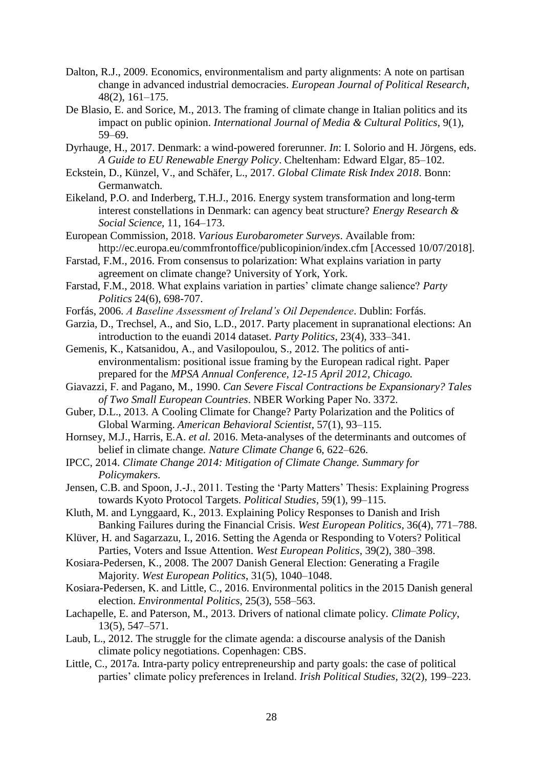- Dalton, R.J., 2009. Economics, environmentalism and party alignments: A note on partisan change in advanced industrial democracies. *European Journal of Political Research*, 48(2), 161–175.
- De Blasio, E. and Sorice, M., 2013. The framing of climate change in Italian politics and its impact on public opinion. *International Journal of Media & Cultural Politics*, 9(1), 59–69.
- Dyrhauge, H., 2017. Denmark: a wind-powered forerunner. *In*: I. Solorio and H. Jörgens, eds. *A Guide to EU Renewable Energy Policy*. Cheltenham: Edward Elgar, 85–102.
- Eckstein, D., Künzel, V., and Schäfer, L., 2017. *Global Climate Risk Index 2018*. Bonn: Germanwatch.
- Eikeland, P.O. and Inderberg, T.H.J., 2016. Energy system transformation and long-term interest constellations in Denmark: can agency beat structure? *Energy Research & Social Science*, 11, 164–173.
- European Commission, 2018. *Various Eurobarometer Surveys*. Available from: http://ec.europa.eu/commfrontoffice/publicopinion/index.cfm [Accessed 10/07/2018].
- Farstad, F.M., 2016. From consensus to polarization: What explains variation in party agreement on climate change? University of York, York.
- Farstad, F.M., 2018. What explains variation in parties' climate change salience? *Party Politics* 24(6), 698-707.
- Forfás, 2006. *A Baseline Assessment of Ireland's Oil Dependence*. Dublin: Forfás.
- Garzia, D., Trechsel, A., and Sio, L.D., 2017. Party placement in supranational elections: An introduction to the euandi 2014 dataset. *Party Politics*, 23(4), 333–341.
- Gemenis, K., Katsanidou, A., and Vasilopoulou, S., 2012. The politics of antienvironmentalism: positional issue framing by the European radical right. Paper prepared for the *MPSA Annual Conference, 12-15 April 2012, Chicago.*
- Giavazzi, F. and Pagano, M., 1990. *Can Severe Fiscal Contractions be Expansionary? Tales of Two Small European Countries*. NBER Working Paper No. 3372.
- Guber, D.L., 2013. A Cooling Climate for Change? Party Polarization and the Politics of Global Warming. *American Behavioral Scientist*, 57(1), 93–115.
- Hornsey, M.J., Harris, E.A. *et al.* 2016. Meta-analyses of the determinants and outcomes of belief in climate change. *Nature Climate Change* 6, 622–626.
- IPCC, 2014. *Climate Change 2014: Mitigation of Climate Change. Summary for Policymakers.*
- Jensen, C.B. and Spoon, J.-J., 2011. Testing the 'Party Matters' Thesis: Explaining Progress towards Kyoto Protocol Targets. *Political Studies*, 59(1), 99–115.
- Kluth, M. and Lynggaard, K., 2013. Explaining Policy Responses to Danish and Irish Banking Failures during the Financial Crisis. *West European Politics*, 36(4), 771–788.
- Klüver, H. and Sagarzazu, I., 2016. Setting the Agenda or Responding to Voters? Political Parties, Voters and Issue Attention. *West European Politics*, 39(2), 380–398.
- Kosiara-Pedersen, K., 2008. The 2007 Danish General Election: Generating a Fragile Majority. *West European Politics*, 31(5), 1040–1048.
- Kosiara-Pedersen, K. and Little, C., 2016. Environmental politics in the 2015 Danish general election. *Environmental Politics*, 25(3), 558–563.
- Lachapelle, E. and Paterson, M., 2013. Drivers of national climate policy. *Climate Policy*, 13(5), 547–571.
- Laub, L., 2012. The struggle for the climate agenda: a discourse analysis of the Danish climate policy negotiations. Copenhagen: CBS.
- Little, C., 2017a. Intra-party policy entrepreneurship and party goals: the case of political parties' climate policy preferences in Ireland. *Irish Political Studies*, 32(2), 199–223.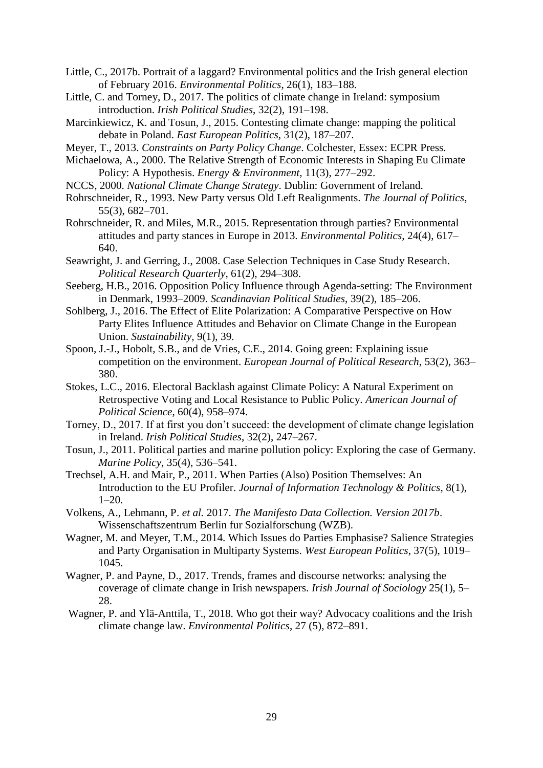- Little, C., 2017b. Portrait of a laggard? Environmental politics and the Irish general election of February 2016. *Environmental Politics*, 26(1), 183–188.
- Little, C. and Torney, D., 2017. The politics of climate change in Ireland: symposium introduction. *Irish Political Studies*, 32(2), 191–198.
- Marcinkiewicz, K. and Tosun, J., 2015. Contesting climate change: mapping the political debate in Poland. *East European Politics*, 31(2), 187–207.
- Meyer, T., 2013. *Constraints on Party Policy Change*. Colchester, Essex: ECPR Press.
- Michaelowa, A., 2000. The Relative Strength of Economic Interests in Shaping Eu Climate Policy: A Hypothesis. *Energy & Environment*, 11(3), 277–292.
- NCCS, 2000. *National Climate Change Strategy*. Dublin: Government of Ireland.
- Rohrschneider, R., 1993. New Party versus Old Left Realignments. *The Journal of Politics*, 55(3), 682–701.
- Rohrschneider, R. and Miles, M.R., 2015. Representation through parties? Environmental attitudes and party stances in Europe in 2013. *Environmental Politics*, 24(4), 617– 640.
- Seawright, J. and Gerring, J., 2008. Case Selection Techniques in Case Study Research. *Political Research Quarterly*, 61(2), 294–308.
- Seeberg, H.B., 2016. Opposition Policy Influence through Agenda-setting: The Environment in Denmark, 1993–2009. *Scandinavian Political Studies*, 39(2), 185–206.
- Sohlberg, J., 2016. The Effect of Elite Polarization: A Comparative Perspective on How Party Elites Influence Attitudes and Behavior on Climate Change in the European Union. *Sustainability*, 9(1), 39.
- Spoon, J.-J., Hobolt, S.B., and de Vries, C.E., 2014. Going green: Explaining issue competition on the environment. *European Journal of Political Research*, 53(2), 363– 380.
- Stokes, L.C., 2016. Electoral Backlash against Climate Policy: A Natural Experiment on Retrospective Voting and Local Resistance to Public Policy. *American Journal of Political Science*, 60(4), 958–974.
- Torney, D., 2017. If at first you don't succeed: the development of climate change legislation in Ireland. *Irish Political Studies*, 32(2), 247–267.
- Tosun, J., 2011. Political parties and marine pollution policy: Exploring the case of Germany. *Marine Policy*, 35(4), 536–541.
- Trechsel, A.H. and Mair, P., 2011. When Parties (Also) Position Themselves: An Introduction to the EU Profiler. *Journal of Information Technology & Politics*, 8(1), 1–20.
- Volkens, A., Lehmann, P. *et al.* 2017. *The Manifesto Data Collection. Version 2017b*. Wissenschaftszentrum Berlin fur Sozialforschung (WZB).
- Wagner, M. and Meyer, T.M., 2014. Which Issues do Parties Emphasise? Salience Strategies and Party Organisation in Multiparty Systems. *West European Politics*, 37(5), 1019– 1045.
- Wagner, P. and Payne, D., 2017. Trends, frames and discourse networks: analysing the coverage of climate change in Irish newspapers. *Irish Journal of Sociology* 25(1), 5– 28.
- Wagner, P. and Ylä-Anttila, T., 2018. Who got their way? Advocacy coalitions and the Irish climate change law. *Environmental Politics*, 27 (5), 872–891.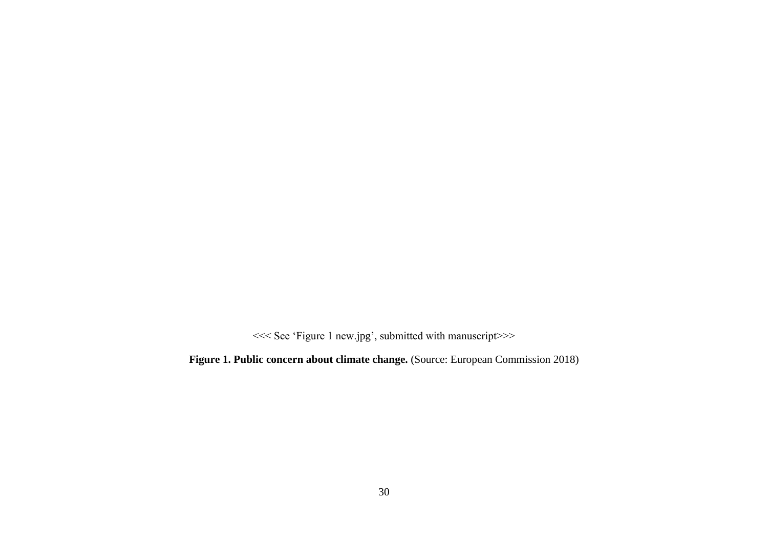<<< See 'Figure 1 new.jpg', submitted with manuscript>>>

<span id="page-29-0"></span>**Figure 1. Public concern about climate change.** (Source: European Commission 2018)